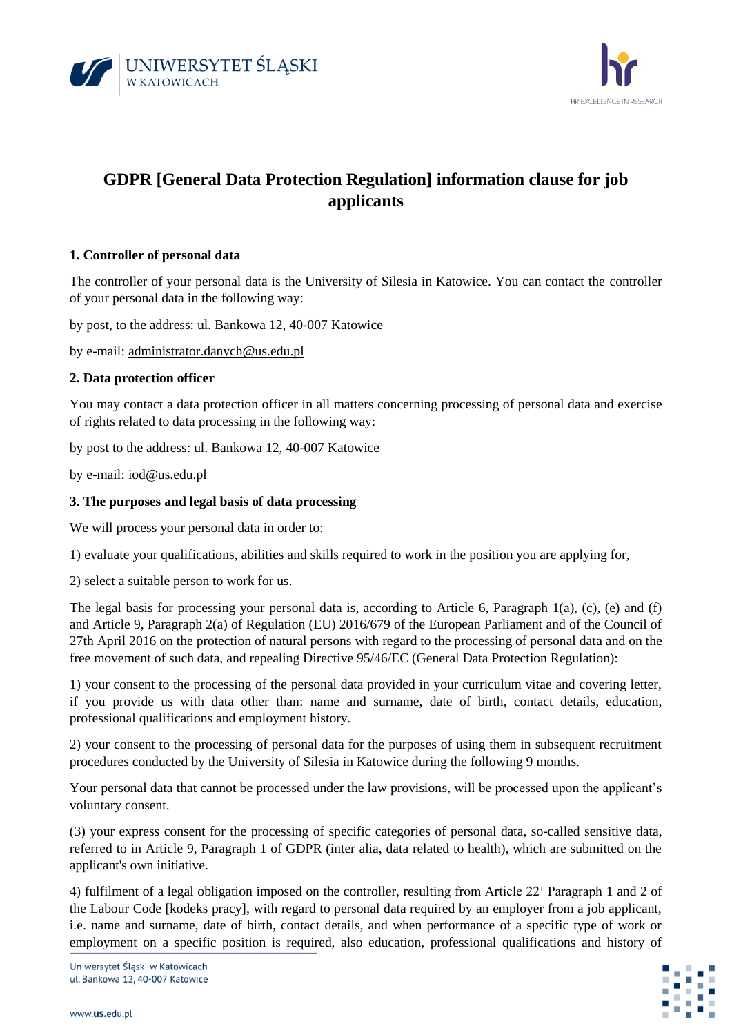



# **GDPR [General Data Protection Regulation] information clause for job applicants**

# **1. Controller of personal data**

The controller of your personal data is the University of Silesia in Katowice. You can contact the controller of your personal data in the following way:

by post, to the address: ul. Bankowa 12, 40-007 Katowice

by e-mail: [administrator.danych@us.edu.pl](mailto:administrator.danych@us.edu.pl)

# **2. Data protection officer**

You may contact a data protection officer in all matters concerning processing of personal data and exercise of rights related to data processing in the following way:

by post to the address: ul. Bankowa 12, 40-007 Katowice

by e-mail: iod@us.edu.pl

#### **3. The purposes and legal basis of data processing**

We will process your personal data in order to:

1) evaluate your qualifications, abilities and skills required to work in the position you are applying for,

2) select a suitable person to work for us.

The legal basis for processing your personal data is, according to Article 6, Paragraph 1(a), (c), (e) and (f) and Article 9, Paragraph 2(a) of Regulation (EU) 2016/679 of the European Parliament and of the Council of 27th April 2016 on the protection of natural persons with regard to the processing of personal data and on the free movement of such data, and repealing Directive 95/46/EC (General Data Protection Regulation):

1) your consent to the processing of the personal data provided in your curriculum vitae and covering letter, if you provide us with data other than: name and surname, date of birth, contact details, education, professional qualifications and employment history.

2) your consent to the processing of personal data for the purposes of using them in subsequent recruitment procedures conducted by the University of Silesia in Katowice during the following 9 months.

Your personal data that cannot be processed under the law provisions, will be processed upon the applicant's voluntary consent.

(3) your express consent for the processing of specific categories of personal data, so-called sensitive data, referred to in Article 9, Paragraph 1 of GDPR (inter alia, data related to health), which are submitted on the applicant's own initiative.

4) fulfilment of a legal obligation imposed on the controller, resulting from Article  $22<sup>1</sup>$  Paragraph 1 and 2 of the Labour Code [kodeks pracy], with regard to personal data required by an employer from a job applicant, i.e. name and surname, date of birth, contact details, and when performance of a specific type of work or employment on a specific position is required, also education, professional qualifications and history of

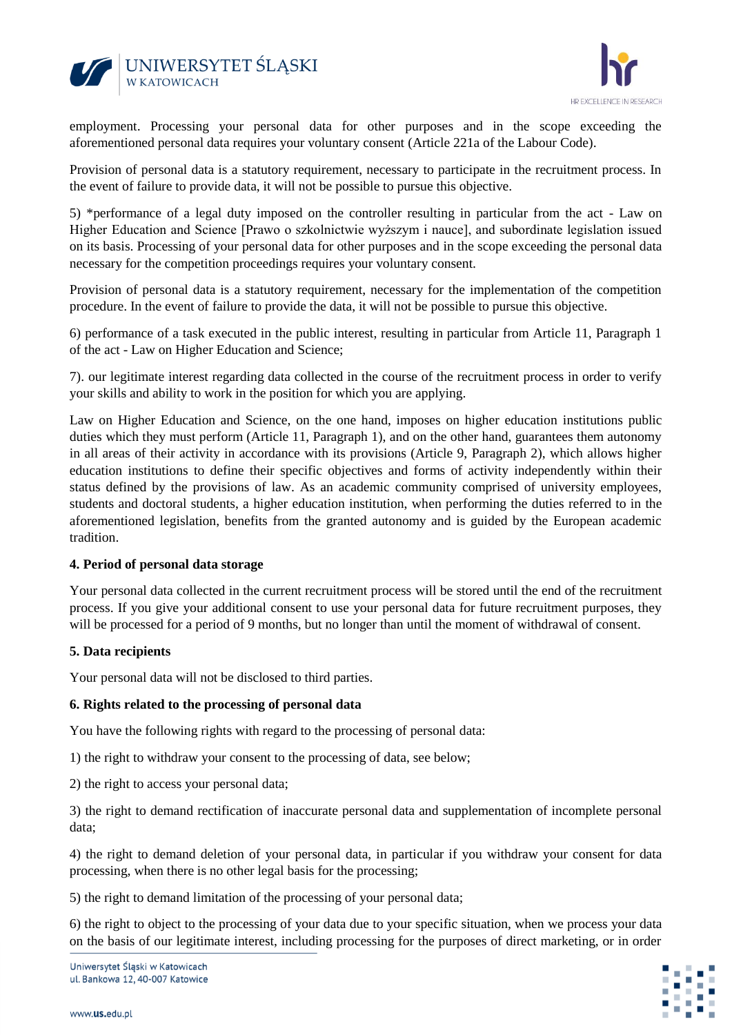



employment. Processing your personal data for other purposes and in the scope exceeding the aforementioned personal data requires your voluntary consent (Article 221a of the Labour Code).

Provision of personal data is a statutory requirement, necessary to participate in the recruitment process. In the event of failure to provide data, it will not be possible to pursue this objective.

5) \*performance of a legal duty imposed on the controller resulting in particular from the act - Law on Higher Education and Science [Prawo o szkolnictwie wyższym i nauce], and subordinate legislation issued on its basis. Processing of your personal data for other purposes and in the scope exceeding the personal data necessary for the competition proceedings requires your voluntary consent.

Provision of personal data is a statutory requirement, necessary for the implementation of the competition procedure. In the event of failure to provide the data, it will not be possible to pursue this objective.

6) performance of a task executed in the public interest, resulting in particular from Article 11, Paragraph 1 of the act - Law on Higher Education and Science;

7). our legitimate interest regarding data collected in the course of the recruitment process in order to verify your skills and ability to work in the position for which you are applying.

Law on Higher Education and Science, on the one hand, imposes on higher education institutions public duties which they must perform (Article 11, Paragraph 1), and on the other hand, guarantees them autonomy in all areas of their activity in accordance with its provisions (Article 9, Paragraph 2), which allows higher education institutions to define their specific objectives and forms of activity independently within their status defined by the provisions of law. As an academic community comprised of university employees, students and doctoral students, a higher education institution, when performing the duties referred to in the aforementioned legislation, benefits from the granted autonomy and is guided by the European academic tradition.

#### **4. Period of personal data storage**

Your personal data collected in the current recruitment process will be stored until the end of the recruitment process. If you give your additional consent to use your personal data for future recruitment purposes, they will be processed for a period of 9 months, but no longer than until the moment of withdrawal of consent.

#### **5. Data recipients**

Your personal data will not be disclosed to third parties.

# **6. Rights related to the processing of personal data**

You have the following rights with regard to the processing of personal data:

1) the right to withdraw your consent to the processing of data, see below;

2) the right to access your personal data;

3) the right to demand rectification of inaccurate personal data and supplementation of incomplete personal data;

4) the right to demand deletion of your personal data, in particular if you withdraw your consent for data processing, when there is no other legal basis for the processing;

5) the right to demand limitation of the processing of your personal data;

6) the right to object to the processing of your data due to your specific situation, when we process your data on the basis of our legitimate interest, including processing for the purposes of direct marketing, or in order